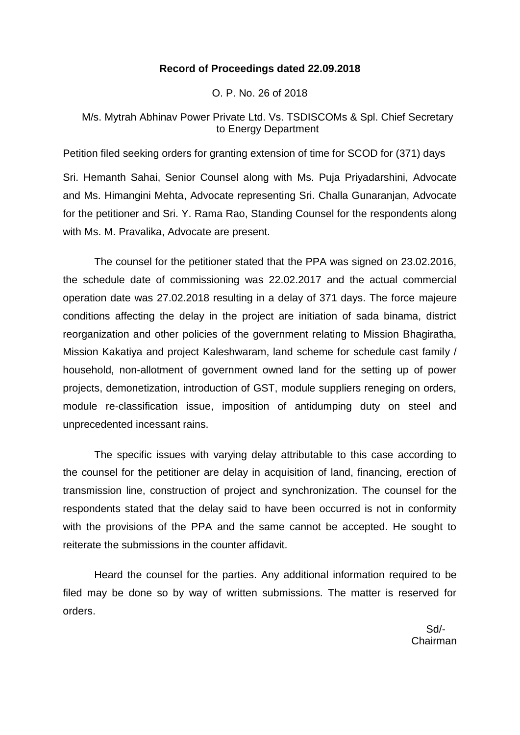## **Record of Proceedings dated 22.09.2018**

O. P. No. 26 of 2018

# M/s. Mytrah Abhinav Power Private Ltd. Vs. TSDISCOMs & Spl. Chief Secretary to Energy Department

Petition filed seeking orders for granting extension of time for SCOD for (371) days

Sri. Hemanth Sahai, Senior Counsel along with Ms. Puja Priyadarshini, Advocate and Ms. Himangini Mehta, Advocate representing Sri. Challa Gunaranjan, Advocate for the petitioner and Sri. Y. Rama Rao, Standing Counsel for the respondents along with Ms. M. Pravalika, Advocate are present.

The counsel for the petitioner stated that the PPA was signed on 23.02.2016, the schedule date of commissioning was 22.02.2017 and the actual commercial operation date was 27.02.2018 resulting in a delay of 371 days. The force majeure conditions affecting the delay in the project are initiation of sada binama, district reorganization and other policies of the government relating to Mission Bhagiratha, Mission Kakatiya and project Kaleshwaram, land scheme for schedule cast family / household, non-allotment of government owned land for the setting up of power projects, demonetization, introduction of GST, module suppliers reneging on orders, module re-classification issue, imposition of antidumping duty on steel and unprecedented incessant rains.

The specific issues with varying delay attributable to this case according to the counsel for the petitioner are delay in acquisition of land, financing, erection of transmission line, construction of project and synchronization. The counsel for the respondents stated that the delay said to have been occurred is not in conformity with the provisions of the PPA and the same cannot be accepted. He sought to reiterate the submissions in the counter affidavit.

Heard the counsel for the parties. Any additional information required to be filed may be done so by way of written submissions. The matter is reserved for orders.

 Sd/- Chairman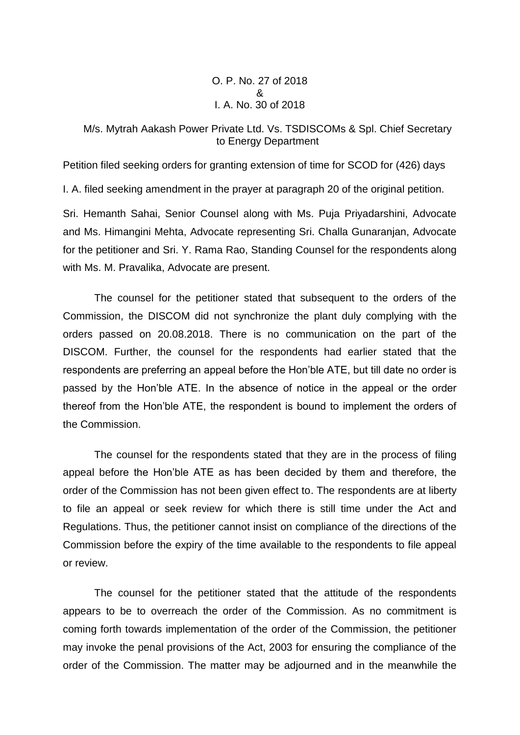O. P. No. 27 of 2018 & I. A. No. 30 of 2018

## M/s. Mytrah Aakash Power Private Ltd. Vs. TSDISCOMs & Spl. Chief Secretary to Energy Department

Petition filed seeking orders for granting extension of time for SCOD for (426) days

I. A. filed seeking amendment in the prayer at paragraph 20 of the original petition.

Sri. Hemanth Sahai, Senior Counsel along with Ms. Puja Priyadarshini, Advocate and Ms. Himangini Mehta, Advocate representing Sri. Challa Gunaranjan, Advocate for the petitioner and Sri. Y. Rama Rao, Standing Counsel for the respondents along with Ms. M. Pravalika, Advocate are present.

The counsel for the petitioner stated that subsequent to the orders of the Commission, the DISCOM did not synchronize the plant duly complying with the orders passed on 20.08.2018. There is no communication on the part of the DISCOM. Further, the counsel for the respondents had earlier stated that the respondents are preferring an appeal before the Hon'ble ATE, but till date no order is passed by the Hon'ble ATE. In the absence of notice in the appeal or the order thereof from the Hon'ble ATE, the respondent is bound to implement the orders of the Commission.

The counsel for the respondents stated that they are in the process of filing appeal before the Hon'ble ATE as has been decided by them and therefore, the order of the Commission has not been given effect to. The respondents are at liberty to file an appeal or seek review for which there is still time under the Act and Regulations. Thus, the petitioner cannot insist on compliance of the directions of the Commission before the expiry of the time available to the respondents to file appeal or review.

The counsel for the petitioner stated that the attitude of the respondents appears to be to overreach the order of the Commission. As no commitment is coming forth towards implementation of the order of the Commission, the petitioner may invoke the penal provisions of the Act, 2003 for ensuring the compliance of the order of the Commission. The matter may be adjourned and in the meanwhile the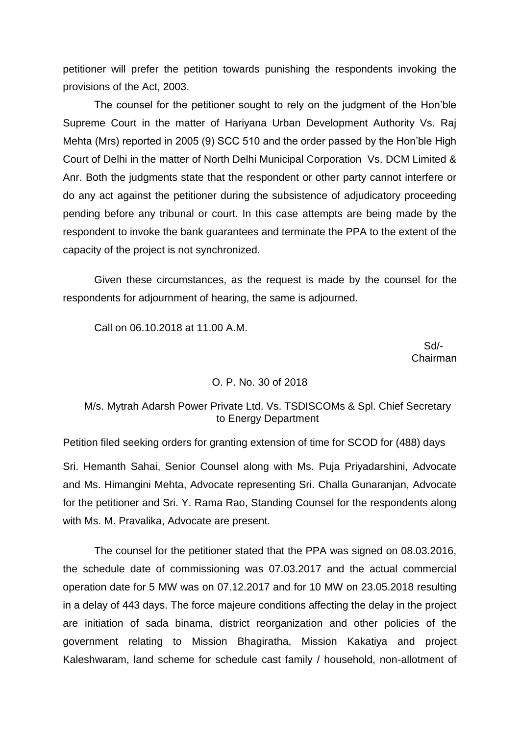petitioner will prefer the petition towards punishing the respondents invoking the provisions of the Act, 2003.

The counsel for the petitioner sought to rely on the judgment of the Hon'ble Supreme Court in the matter of Hariyana Urban Development Authority Vs. Raj Mehta (Mrs) reported in 2005 (9) SCC 510 and the order passed by the Hon'ble High Court of Delhi in the matter of North Delhi Municipal Corporation Vs. DCM Limited & Anr. Both the judgments state that the respondent or other party cannot interfere or do any act against the petitioner during the subsistence of adjudicatory proceeding pending before any tribunal or court. In this case attempts are being made by the respondent to invoke the bank guarantees and terminate the PPA to the extent of the capacity of the project is not synchronized.

Given these circumstances, as the request is made by the counsel for the respondents for adjournment of hearing, the same is adjourned.

Call on 06.10.2018 at 11.00 A.M.

 Sd/- Chairman

### O. P. No. 30 of 2018

# M/s. Mytrah Adarsh Power Private Ltd. Vs. TSDISCOMs & Spl. Chief Secretary to Energy Department

Petition filed seeking orders for granting extension of time for SCOD for (488) days

Sri. Hemanth Sahai, Senior Counsel along with Ms. Puja Priyadarshini, Advocate and Ms. Himangini Mehta, Advocate representing Sri. Challa Gunaranjan, Advocate for the petitioner and Sri. Y. Rama Rao, Standing Counsel for the respondents along with Ms. M. Pravalika, Advocate are present.

The counsel for the petitioner stated that the PPA was signed on 08.03.2016, the schedule date of commissioning was 07.03.2017 and the actual commercial operation date for 5 MW was on 07.12.2017 and for 10 MW on 23.05.2018 resulting in a delay of 443 days. The force majeure conditions affecting the delay in the project are initiation of sada binama, district reorganization and other policies of the government relating to Mission Bhagiratha, Mission Kakatiya and project Kaleshwaram, land scheme for schedule cast family / household, non-allotment of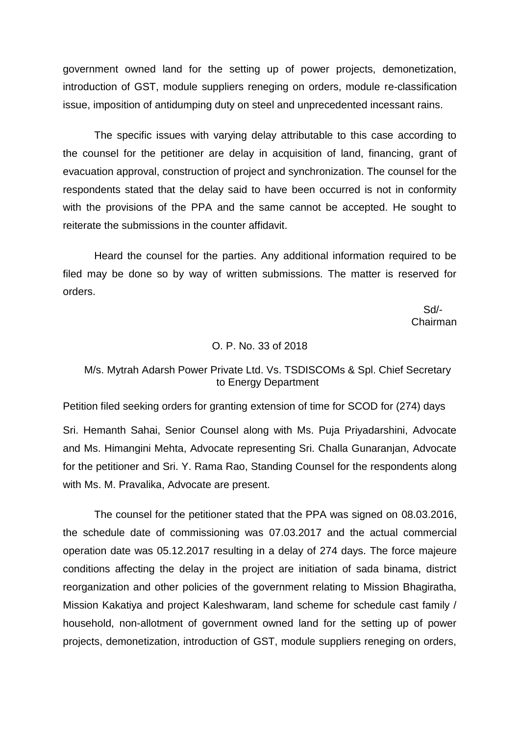government owned land for the setting up of power projects, demonetization, introduction of GST, module suppliers reneging on orders, module re-classification issue, imposition of antidumping duty on steel and unprecedented incessant rains.

The specific issues with varying delay attributable to this case according to the counsel for the petitioner are delay in acquisition of land, financing, grant of evacuation approval, construction of project and synchronization. The counsel for the respondents stated that the delay said to have been occurred is not in conformity with the provisions of the PPA and the same cannot be accepted. He sought to reiterate the submissions in the counter affidavit.

Heard the counsel for the parties. Any additional information required to be filed may be done so by way of written submissions. The matter is reserved for orders.

 Sd/- Chairman

### O. P. No. 33 of 2018

## M/s. Mytrah Adarsh Power Private Ltd. Vs. TSDISCOMs & Spl. Chief Secretary to Energy Department

Petition filed seeking orders for granting extension of time for SCOD for (274) days

Sri. Hemanth Sahai, Senior Counsel along with Ms. Puja Priyadarshini, Advocate and Ms. Himangini Mehta, Advocate representing Sri. Challa Gunaranjan, Advocate for the petitioner and Sri. Y. Rama Rao, Standing Counsel for the respondents along with Ms. M. Pravalika, Advocate are present.

The counsel for the petitioner stated that the PPA was signed on 08.03.2016, the schedule date of commissioning was 07.03.2017 and the actual commercial operation date was 05.12.2017 resulting in a delay of 274 days. The force majeure conditions affecting the delay in the project are initiation of sada binama, district reorganization and other policies of the government relating to Mission Bhagiratha, Mission Kakatiya and project Kaleshwaram, land scheme for schedule cast family / household, non-allotment of government owned land for the setting up of power projects, demonetization, introduction of GST, module suppliers reneging on orders,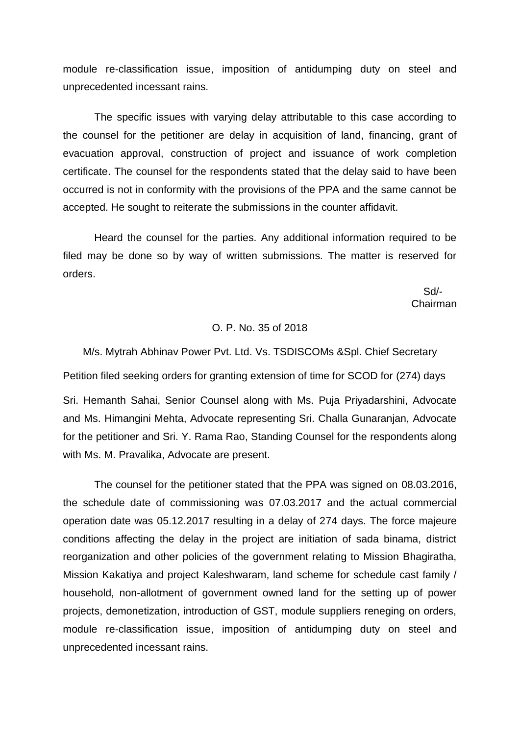module re-classification issue, imposition of antidumping duty on steel and unprecedented incessant rains.

The specific issues with varying delay attributable to this case according to the counsel for the petitioner are delay in acquisition of land, financing, grant of evacuation approval, construction of project and issuance of work completion certificate. The counsel for the respondents stated that the delay said to have been occurred is not in conformity with the provisions of the PPA and the same cannot be accepted. He sought to reiterate the submissions in the counter affidavit.

Heard the counsel for the parties. Any additional information required to be filed may be done so by way of written submissions. The matter is reserved for orders.

 Sd/- Chairman

### O. P. No. 35 of 2018

M/s. Mytrah Abhinav Power Pvt. Ltd. Vs. TSDISCOMs &Spl. Chief Secretary Petition filed seeking orders for granting extension of time for SCOD for (274) days

Sri. Hemanth Sahai, Senior Counsel along with Ms. Puja Priyadarshini, Advocate and Ms. Himangini Mehta, Advocate representing Sri. Challa Gunaranjan, Advocate for the petitioner and Sri. Y. Rama Rao, Standing Counsel for the respondents along with Ms. M. Pravalika, Advocate are present.

The counsel for the petitioner stated that the PPA was signed on 08.03.2016, the schedule date of commissioning was 07.03.2017 and the actual commercial operation date was 05.12.2017 resulting in a delay of 274 days. The force majeure conditions affecting the delay in the project are initiation of sada binama, district reorganization and other policies of the government relating to Mission Bhagiratha, Mission Kakatiya and project Kaleshwaram, land scheme for schedule cast family / household, non-allotment of government owned land for the setting up of power projects, demonetization, introduction of GST, module suppliers reneging on orders, module re-classification issue, imposition of antidumping duty on steel and unprecedented incessant rains.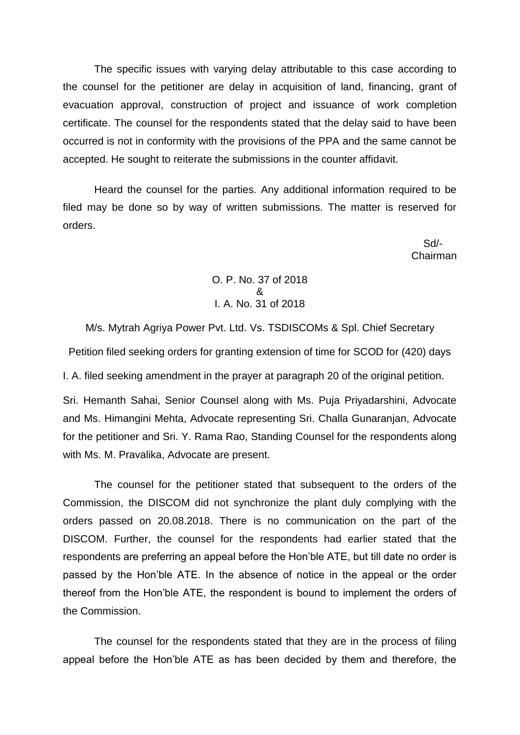The specific issues with varying delay attributable to this case according to the counsel for the petitioner are delay in acquisition of land, financing, grant of evacuation approval, construction of project and issuance of work completion certificate. The counsel for the respondents stated that the delay said to have been occurred is not in conformity with the provisions of the PPA and the same cannot be accepted. He sought to reiterate the submissions in the counter affidavit.

Heard the counsel for the parties. Any additional information required to be filed may be done so by way of written submissions. The matter is reserved for orders.

 Sd/- Chairman

> O. P. No. 37 of 2018 & I. A. No. 31 of 2018

M/s. Mytrah Agriya Power Pvt. Ltd. Vs. TSDISCOMs & Spl. Chief Secretary Petition filed seeking orders for granting extension of time for SCOD for (420) days I. A. filed seeking amendment in the prayer at paragraph 20 of the original petition.

Sri. Hemanth Sahai, Senior Counsel along with Ms. Puja Priyadarshini, Advocate and Ms. Himangini Mehta, Advocate representing Sri. Challa Gunaranjan, Advocate for the petitioner and Sri. Y. Rama Rao, Standing Counsel for the respondents along with Ms. M. Pravalika, Advocate are present.

The counsel for the petitioner stated that subsequent to the orders of the Commission, the DISCOM did not synchronize the plant duly complying with the orders passed on 20.08.2018. There is no communication on the part of the DISCOM. Further, the counsel for the respondents had earlier stated that the respondents are preferring an appeal before the Hon'ble ATE, but till date no order is passed by the Hon'ble ATE. In the absence of notice in the appeal or the order thereof from the Hon'ble ATE, the respondent is bound to implement the orders of the Commission.

The counsel for the respondents stated that they are in the process of filing appeal before the Hon'ble ATE as has been decided by them and therefore, the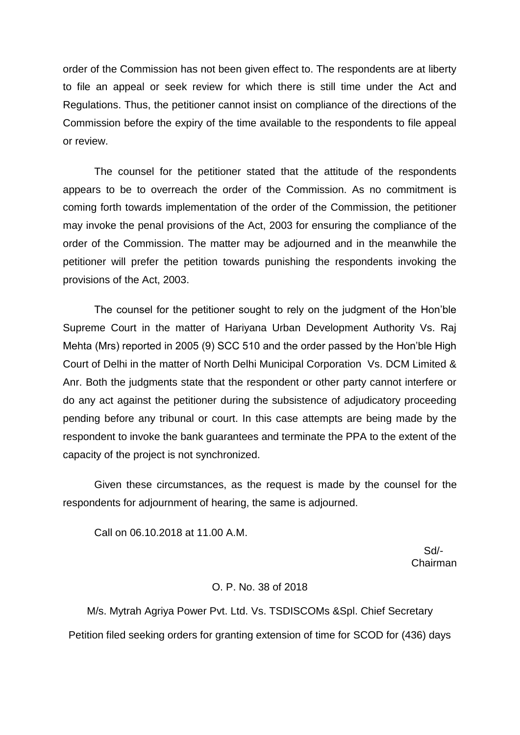order of the Commission has not been given effect to. The respondents are at liberty to file an appeal or seek review for which there is still time under the Act and Regulations. Thus, the petitioner cannot insist on compliance of the directions of the Commission before the expiry of the time available to the respondents to file appeal or review.

The counsel for the petitioner stated that the attitude of the respondents appears to be to overreach the order of the Commission. As no commitment is coming forth towards implementation of the order of the Commission, the petitioner may invoke the penal provisions of the Act, 2003 for ensuring the compliance of the order of the Commission. The matter may be adjourned and in the meanwhile the petitioner will prefer the petition towards punishing the respondents invoking the provisions of the Act, 2003.

The counsel for the petitioner sought to rely on the judgment of the Hon'ble Supreme Court in the matter of Hariyana Urban Development Authority Vs. Raj Mehta (Mrs) reported in 2005 (9) SCC 510 and the order passed by the Hon'ble High Court of Delhi in the matter of North Delhi Municipal Corporation Vs. DCM Limited & Anr. Both the judgments state that the respondent or other party cannot interfere or do any act against the petitioner during the subsistence of adjudicatory proceeding pending before any tribunal or court. In this case attempts are being made by the respondent to invoke the bank guarantees and terminate the PPA to the extent of the capacity of the project is not synchronized.

Given these circumstances, as the request is made by the counsel for the respondents for adjournment of hearing, the same is adjourned.

Call on 06.10.2018 at 11.00 A.M.

 Sd/- Chairman

### O. P. No. 38 of 2018

M/s. Mytrah Agriya Power Pvt. Ltd. Vs. TSDISCOMs &Spl. Chief Secretary Petition filed seeking orders for granting extension of time for SCOD for (436) days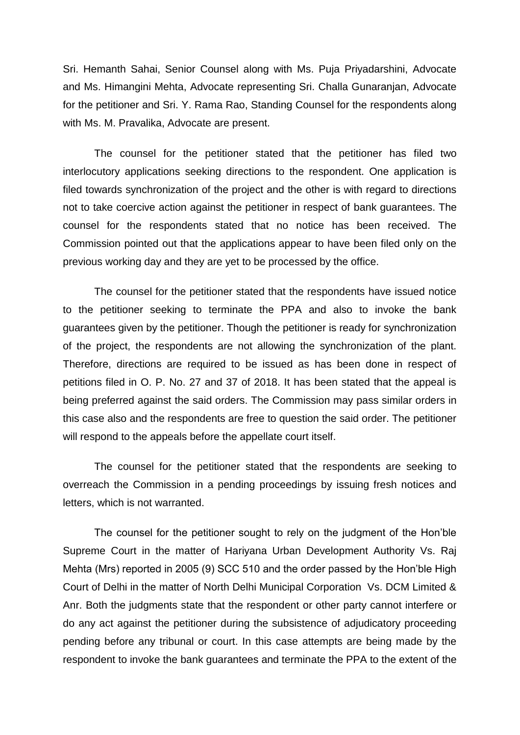Sri. Hemanth Sahai, Senior Counsel along with Ms. Puja Priyadarshini, Advocate and Ms. Himangini Mehta, Advocate representing Sri. Challa Gunaranjan, Advocate for the petitioner and Sri. Y. Rama Rao, Standing Counsel for the respondents along with Ms. M. Pravalika, Advocate are present.

The counsel for the petitioner stated that the petitioner has filed two interlocutory applications seeking directions to the respondent. One application is filed towards synchronization of the project and the other is with regard to directions not to take coercive action against the petitioner in respect of bank guarantees. The counsel for the respondents stated that no notice has been received. The Commission pointed out that the applications appear to have been filed only on the previous working day and they are yet to be processed by the office.

The counsel for the petitioner stated that the respondents have issued notice to the petitioner seeking to terminate the PPA and also to invoke the bank guarantees given by the petitioner. Though the petitioner is ready for synchronization of the project, the respondents are not allowing the synchronization of the plant. Therefore, directions are required to be issued as has been done in respect of petitions filed in O. P. No. 27 and 37 of 2018. It has been stated that the appeal is being preferred against the said orders. The Commission may pass similar orders in this case also and the respondents are free to question the said order. The petitioner will respond to the appeals before the appellate court itself.

The counsel for the petitioner stated that the respondents are seeking to overreach the Commission in a pending proceedings by issuing fresh notices and letters, which is not warranted.

The counsel for the petitioner sought to rely on the judgment of the Hon'ble Supreme Court in the matter of Hariyana Urban Development Authority Vs. Raj Mehta (Mrs) reported in 2005 (9) SCC 510 and the order passed by the Hon'ble High Court of Delhi in the matter of North Delhi Municipal Corporation Vs. DCM Limited & Anr. Both the judgments state that the respondent or other party cannot interfere or do any act against the petitioner during the subsistence of adjudicatory proceeding pending before any tribunal or court. In this case attempts are being made by the respondent to invoke the bank guarantees and terminate the PPA to the extent of the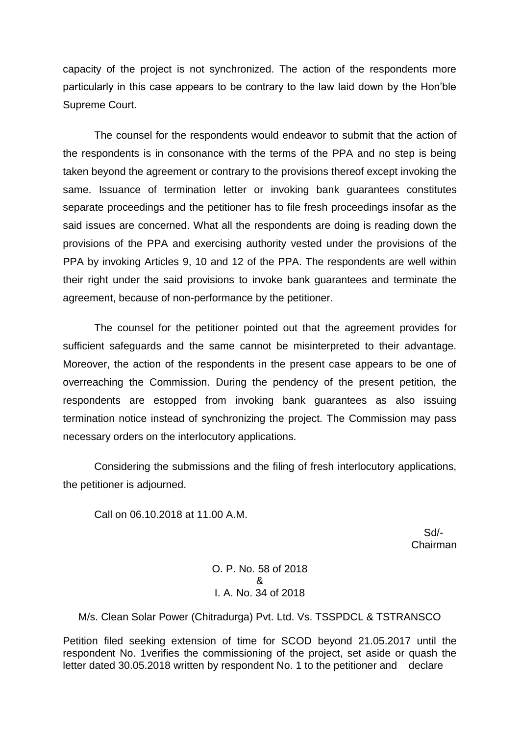capacity of the project is not synchronized. The action of the respondents more particularly in this case appears to be contrary to the law laid down by the Hon'ble Supreme Court.

The counsel for the respondents would endeavor to submit that the action of the respondents is in consonance with the terms of the PPA and no step is being taken beyond the agreement or contrary to the provisions thereof except invoking the same. Issuance of termination letter or invoking bank guarantees constitutes separate proceedings and the petitioner has to file fresh proceedings insofar as the said issues are concerned. What all the respondents are doing is reading down the provisions of the PPA and exercising authority vested under the provisions of the PPA by invoking Articles 9, 10 and 12 of the PPA. The respondents are well within their right under the said provisions to invoke bank guarantees and terminate the agreement, because of non-performance by the petitioner.

The counsel for the petitioner pointed out that the agreement provides for sufficient safeguards and the same cannot be misinterpreted to their advantage. Moreover, the action of the respondents in the present case appears to be one of overreaching the Commission. During the pendency of the present petition, the respondents are estopped from invoking bank guarantees as also issuing termination notice instead of synchronizing the project. The Commission may pass necessary orders on the interlocutory applications.

Considering the submissions and the filing of fresh interlocutory applications, the petitioner is adjourned.

Call on 06.10.2018 at 11.00 A.M.

 Sd/- Chairman

> O. P. No. 58 of 2018 & I. A. No. 34 of 2018

M/s. Clean Solar Power (Chitradurga) Pvt. Ltd. Vs. TSSPDCL & TSTRANSCO

Petition filed seeking extension of time for SCOD beyond 21.05.2017 until the respondent No. 1verifies the commissioning of the project, set aside or quash the letter dated 30.05.2018 written by respondent No. 1 to the petitioner and declare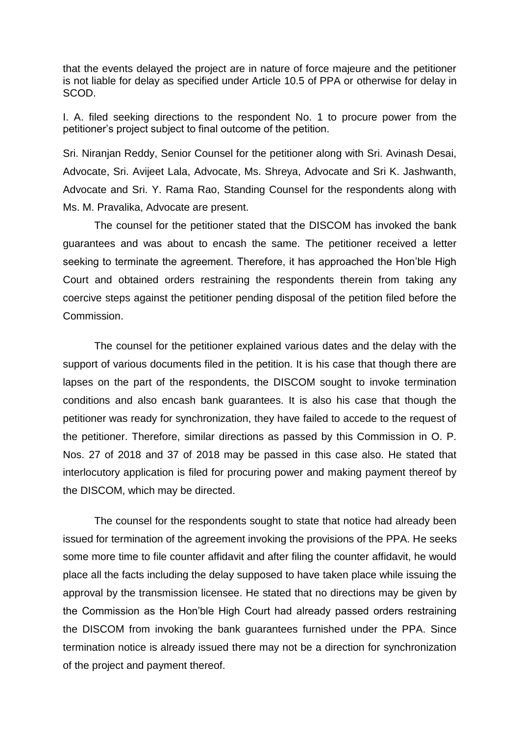that the events delayed the project are in nature of force majeure and the petitioner is not liable for delay as specified under Article 10.5 of PPA or otherwise for delay in SCOD.

I. A. filed seeking directions to the respondent No. 1 to procure power from the petitioner's project subject to final outcome of the petition.

Sri. Niranjan Reddy, Senior Counsel for the petitioner along with Sri. Avinash Desai, Advocate, Sri. Avijeet Lala, Advocate, Ms. Shreya, Advocate and Sri K. Jashwanth, Advocate and Sri. Y. Rama Rao, Standing Counsel for the respondents along with Ms. M. Pravalika, Advocate are present.

The counsel for the petitioner stated that the DISCOM has invoked the bank guarantees and was about to encash the same. The petitioner received a letter seeking to terminate the agreement. Therefore, it has approached the Hon'ble High Court and obtained orders restraining the respondents therein from taking any coercive steps against the petitioner pending disposal of the petition filed before the Commission.

The counsel for the petitioner explained various dates and the delay with the support of various documents filed in the petition. It is his case that though there are lapses on the part of the respondents, the DISCOM sought to invoke termination conditions and also encash bank guarantees. It is also his case that though the petitioner was ready for synchronization, they have failed to accede to the request of the petitioner. Therefore, similar directions as passed by this Commission in O. P. Nos. 27 of 2018 and 37 of 2018 may be passed in this case also. He stated that interlocutory application is filed for procuring power and making payment thereof by the DISCOM, which may be directed.

The counsel for the respondents sought to state that notice had already been issued for termination of the agreement invoking the provisions of the PPA. He seeks some more time to file counter affidavit and after filing the counter affidavit, he would place all the facts including the delay supposed to have taken place while issuing the approval by the transmission licensee. He stated that no directions may be given by the Commission as the Hon'ble High Court had already passed orders restraining the DISCOM from invoking the bank guarantees furnished under the PPA. Since termination notice is already issued there may not be a direction for synchronization of the project and payment thereof.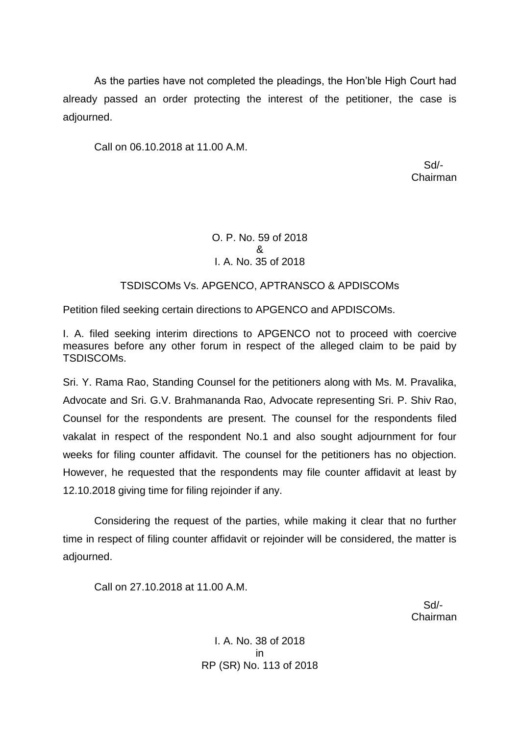As the parties have not completed the pleadings, the Hon'ble High Court had already passed an order protecting the interest of the petitioner, the case is adjourned.

Call on 06.10.2018 at 11.00 A.M.

 Sd/- Chairman

# O. P. No. 59 of 2018 & I. A. No. 35 of 2018

# TSDISCOMs Vs. APGENCO, APTRANSCO & APDISCOMs

Petition filed seeking certain directions to APGENCO and APDISCOMs.

I. A. filed seeking interim directions to APGENCO not to proceed with coercive measures before any other forum in respect of the alleged claim to be paid by TSDISCOMs.

Sri. Y. Rama Rao, Standing Counsel for the petitioners along with Ms. M. Pravalika, Advocate and Sri. G.V. Brahmananda Rao, Advocate representing Sri. P. Shiv Rao, Counsel for the respondents are present. The counsel for the respondents filed vakalat in respect of the respondent No.1 and also sought adjournment for four weeks for filing counter affidavit. The counsel for the petitioners has no objection. However, he requested that the respondents may file counter affidavit at least by 12.10.2018 giving time for filing rejoinder if any.

Considering the request of the parties, while making it clear that no further time in respect of filing counter affidavit or rejoinder will be considered, the matter is adjourned.

Call on 27.10.2018 at 11.00 A.M.

 Sd/- Chairman

> I. A. No. 38 of 2018 in RP (SR) No. 113 of 2018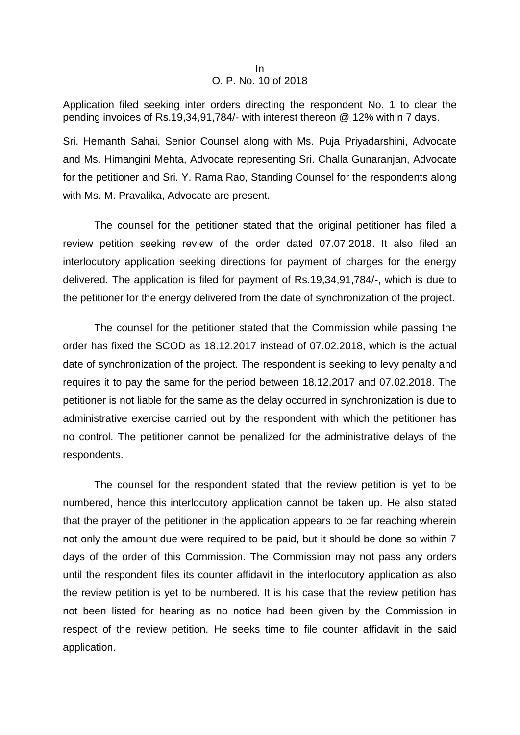#### In O. P. No. 10 of 2018

Application filed seeking inter orders directing the respondent No. 1 to clear the pending invoices of Rs.19,34,91,784/- with interest thereon @ 12% within 7 days.

Sri. Hemanth Sahai, Senior Counsel along with Ms. Puja Priyadarshini, Advocate and Ms. Himangini Mehta, Advocate representing Sri. Challa Gunaranjan, Advocate for the petitioner and Sri. Y. Rama Rao, Standing Counsel for the respondents along with Ms. M. Pravalika, Advocate are present.

The counsel for the petitioner stated that the original petitioner has filed a review petition seeking review of the order dated 07.07.2018. It also filed an interlocutory application seeking directions for payment of charges for the energy delivered. The application is filed for payment of Rs.19,34,91,784/-, which is due to the petitioner for the energy delivered from the date of synchronization of the project.

The counsel for the petitioner stated that the Commission while passing the order has fixed the SCOD as 18.12.2017 instead of 07.02.2018, which is the actual date of synchronization of the project. The respondent is seeking to levy penalty and requires it to pay the same for the period between 18.12.2017 and 07.02.2018. The petitioner is not liable for the same as the delay occurred in synchronization is due to administrative exercise carried out by the respondent with which the petitioner has no control. The petitioner cannot be penalized for the administrative delays of the respondents.

The counsel for the respondent stated that the review petition is yet to be numbered, hence this interlocutory application cannot be taken up. He also stated that the prayer of the petitioner in the application appears to be far reaching wherein not only the amount due were required to be paid, but it should be done so within 7 days of the order of this Commission. The Commission may not pass any orders until the respondent files its counter affidavit in the interlocutory application as also the review petition is yet to be numbered. It is his case that the review petition has not been listed for hearing as no notice had been given by the Commission in respect of the review petition. He seeks time to file counter affidavit in the said application.